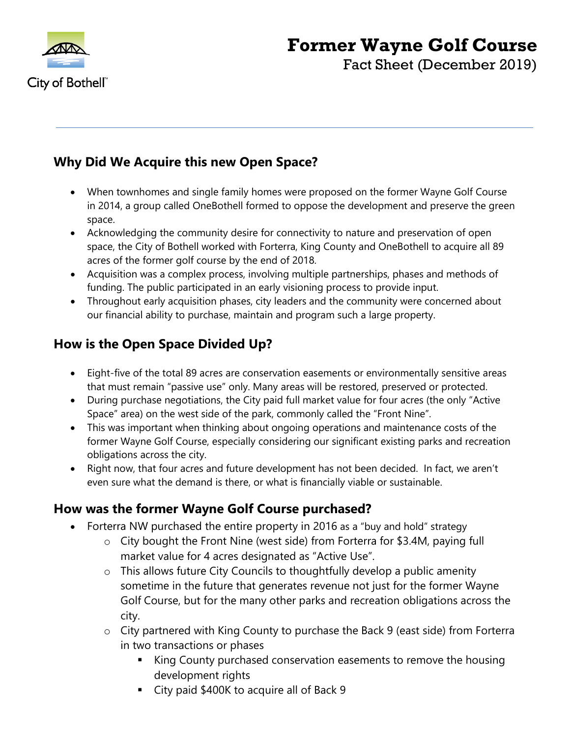

# **Former Wayne Golf Course**

Fact Sheet (December 2019)

# **Why Did We Acquire this new Open Space?**

- When townhomes and single family homes were proposed on the former Wayne Golf Course in 2014, a group called OneBothell formed to oppose the development and preserve the green space.
- Acknowledging the community desire for connectivity to nature and preservation of open space, the City of Bothell worked with Forterra, King County and OneBothell to acquire all 89 acres of the former golf course by the end of 2018.
- Acquisition was a complex process, involving multiple partnerships, phases and methods of funding. The public participated in an early visioning process to provide input.
- Throughout early acquisition phases, city leaders and the community were concerned about our financial ability to purchase, maintain and program such a large property.

# **How is the Open Space Divided Up?**

- Eight-five of the total 89 acres are conservation easements or environmentally sensitive areas that must remain "passive use" only. Many areas will be restored, preserved or protected.
- During purchase negotiations, the City paid full market value for four acres (the only "Active Space" area) on the west side of the park, commonly called the "Front Nine".
- This was important when thinking about ongoing operations and maintenance costs of the former Wayne Golf Course, especially considering our significant existing parks and recreation obligations across the city.
- Right now, that four acres and future development has not been decided. In fact, we aren't even sure what the demand is there, or what is financially viable or sustainable.

## **How was the former Wayne Golf Course purchased?**

- Forterra NW purchased the entire property in 2016 as a "buy and hold" strategy
	- o City bought the Front Nine (west side) from Forterra for \$3.4M, paying full market value for 4 acres designated as "Active Use".
	- o This allows future City Councils to thoughtfully develop a public amenity sometime in the future that generates revenue not just for the former Wayne Golf Course, but for the many other parks and recreation obligations across the city.
	- o City partnered with King County to purchase the Back 9 (east side) from Forterra in two transactions or phases
		- King County purchased conservation easements to remove the housing development rights
		- City paid \$400K to acquire all of Back 9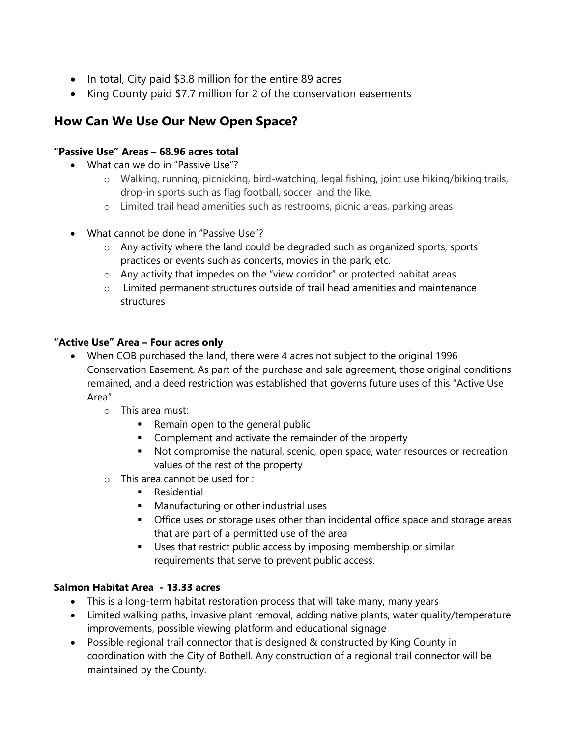- In total, City paid \$3.8 million for the entire 89 acres
- King County paid \$7.7 million for 2 of the conservation easements

# **How Can We Use Our New Open Space?**

#### **"Passive Use" Areas – 68.96 acres total**

- What can we do in "Passive Use"?
	- o Walking, running, picnicking, bird-watching, legal fishing, joint use hiking/biking trails, drop-in sports such as flag football, soccer, and the like.
	- o Limited trail head amenities such as restrooms, picnic areas, parking areas
- What cannot be done in "Passive Use"?
	- o Any activity where the land could be degraded such as organized sports, sports practices or events such as concerts, movies in the park, etc.
	- o Any activity that impedes on the "view corridor" or protected habitat areas
	- $\circ$  Limited permanent structures outside of trail head amenities and maintenance structures

#### **"Active Use" Area – Four acres only**

- When COB purchased the land, there were 4 acres not subject to the original 1996 Conservation Easement. As part of the purchase and sale agreement, those original conditions remained, and a deed restriction was established that governs future uses of this "Active Use Area".
	- o This area must:
		- **Remain open to the general public**
		- **EXECOMPLEMENT COMPLEMENT And activate the remainder of the property**
		- Not compromise the natural, scenic, open space, water resources or recreation values of the rest of the property
	- o This area cannot be used for :
		- **Residential**
		- **Manufacturing or other industrial uses**
		- **•** Office uses or storage uses other than incidental office space and storage areas that are part of a permitted use of the area
		- Uses that restrict public access by imposing membership or similar requirements that serve to prevent public access.

#### **Salmon Habitat Area - 13.33 acres**

- This is a long-term habitat restoration process that will take many, many years
- Limited walking paths, invasive plant removal, adding native plants, water quality/temperature improvements, possible viewing platform and educational signage
- Possible regional trail connector that is designed & constructed by King County in coordination with the City of Bothell. Any construction of a regional trail connector will be maintained by the County.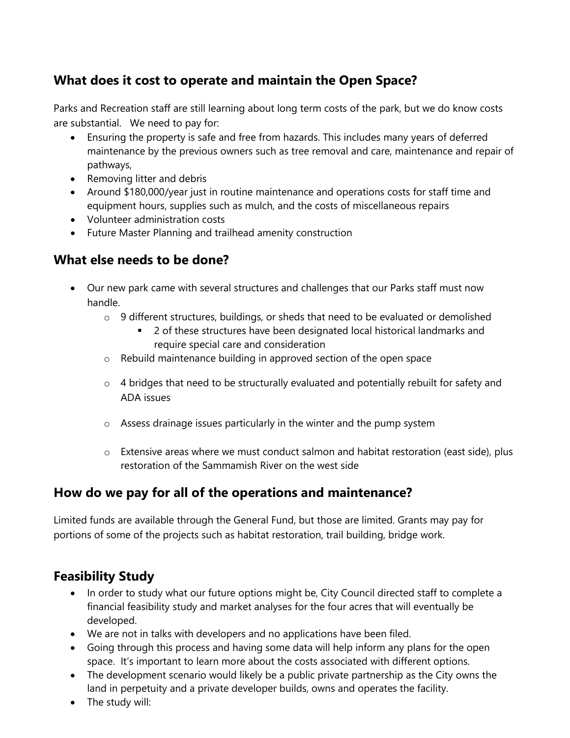# **What does it cost to operate and maintain the Open Space?**

Parks and Recreation staff are still learning about long term costs of the park, but we do know costs are substantial. We need to pay for:

- Ensuring the property is safe and free from hazards. This includes many years of deferred maintenance by the previous owners such as tree removal and care, maintenance and repair of pathways,
- Removing litter and debris
- Around \$180,000/year just in routine maintenance and operations costs for staff time and equipment hours, supplies such as mulch, and the costs of miscellaneous repairs
- Volunteer administration costs
- Future Master Planning and trailhead amenity construction

## **What else needs to be done?**

- Our new park came with several structures and challenges that our Parks staff must now handle.
	- o 9 different structures, buildings, or sheds that need to be evaluated or demolished
		- 2 of these structures have been designated local historical landmarks and require special care and consideration
	- o Rebuild maintenance building in approved section of the open space
	- o 4 bridges that need to be structurally evaluated and potentially rebuilt for safety and ADA issues
	- o Assess drainage issues particularly in the winter and the pump system
	- o Extensive areas where we must conduct salmon and habitat restoration (east side), plus restoration of the Sammamish River on the west side

## **How do we pay for all of the operations and maintenance?**

Limited funds are available through the General Fund, but those are limited. Grants may pay for portions of some of the projects such as habitat restoration, trail building, bridge work.

## **Feasibility Study**

- In order to study what our future options might be, City Council directed staff to complete a financial feasibility study and market analyses for the four acres that will eventually be developed.
- We are not in talks with developers and no applications have been filed.
- Going through this process and having some data will help inform any plans for the open space. It's important to learn more about the costs associated with different options.
- The development scenario would likely be a public private partnership as the City owns the land in perpetuity and a private developer builds, owns and operates the facility.
- The study will: